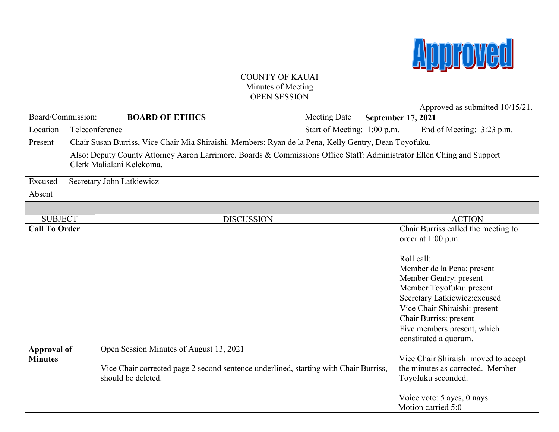

## COUNTY OF KAUAI Minutes of Meeting OPEN SESSION

Approved as submitted 10/15/21.

| Board/Commission:    |                                                                                                                                                     |  | <b>BOARD OF ETHICS</b>                                                               | Meeting Date | <b>September 17, 2021</b> |                                      |
|----------------------|-----------------------------------------------------------------------------------------------------------------------------------------------------|--|--------------------------------------------------------------------------------------|--------------|---------------------------|--------------------------------------|
| Location             | Teleconference                                                                                                                                      |  | Start of Meeting: 1:00 p.m.                                                          |              | End of Meeting: 3:23 p.m. |                                      |
| Present              | Chair Susan Burriss, Vice Chair Mia Shiraishi. Members: Ryan de la Pena, Kelly Gentry, Dean Toyofuku.                                               |  |                                                                                      |              |                           |                                      |
|                      | Also: Deputy County Attorney Aaron Larrimore. Boards & Commissions Office Staff: Administrator Ellen Ching and Support<br>Clerk Malialani Kelekoma. |  |                                                                                      |              |                           |                                      |
| Excused              | Secretary John Latkiewicz                                                                                                                           |  |                                                                                      |              |                           |                                      |
| Absent               |                                                                                                                                                     |  |                                                                                      |              |                           |                                      |
|                      |                                                                                                                                                     |  |                                                                                      |              |                           |                                      |
| <b>SUBJECT</b>       |                                                                                                                                                     |  | <b>DISCUSSION</b>                                                                    |              |                           | <b>ACTION</b>                        |
| <b>Call To Order</b> |                                                                                                                                                     |  |                                                                                      |              |                           | Chair Burriss called the meeting to  |
|                      |                                                                                                                                                     |  |                                                                                      |              |                           | order at 1:00 p.m.                   |
|                      |                                                                                                                                                     |  |                                                                                      |              |                           |                                      |
|                      |                                                                                                                                                     |  |                                                                                      |              |                           | Roll call:                           |
|                      |                                                                                                                                                     |  |                                                                                      |              |                           | Member de la Pena: present           |
|                      |                                                                                                                                                     |  |                                                                                      |              |                           | Member Gentry: present               |
|                      |                                                                                                                                                     |  |                                                                                      |              |                           | Member Toyofuku: present             |
|                      |                                                                                                                                                     |  |                                                                                      |              |                           | Secretary Latkiewicz: excused        |
|                      |                                                                                                                                                     |  |                                                                                      |              |                           | Vice Chair Shiraishi: present        |
|                      |                                                                                                                                                     |  |                                                                                      |              |                           | Chair Burriss: present               |
|                      |                                                                                                                                                     |  |                                                                                      |              |                           | Five members present, which          |
|                      |                                                                                                                                                     |  |                                                                                      |              |                           | constituted a quorum.                |
| <b>Approval of</b>   |                                                                                                                                                     |  | Open Session Minutes of August 13, 2021                                              |              |                           |                                      |
| <b>Minutes</b>       |                                                                                                                                                     |  |                                                                                      |              |                           | Vice Chair Shiraishi moved to accept |
|                      |                                                                                                                                                     |  | Vice Chair corrected page 2 second sentence underlined, starting with Chair Burriss, |              |                           | the minutes as corrected. Member     |
|                      |                                                                                                                                                     |  | should be deleted.                                                                   |              |                           | Toyofuku seconded.                   |
|                      |                                                                                                                                                     |  |                                                                                      |              |                           |                                      |
|                      |                                                                                                                                                     |  |                                                                                      |              |                           | Voice vote: 5 ayes, 0 nays           |
|                      |                                                                                                                                                     |  |                                                                                      |              |                           | Motion carried 5:0                   |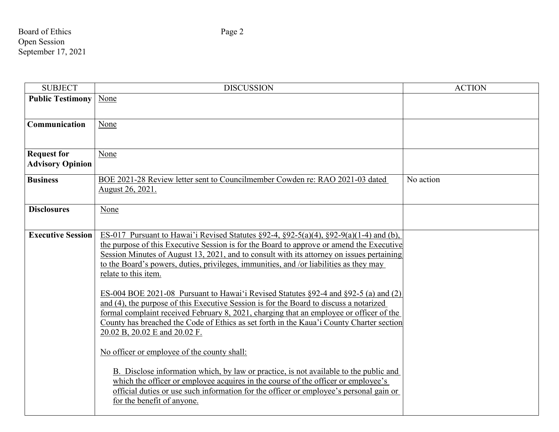Board of Ethics Page 2 Open Session September 17, 2021

| <b>SUBJECT</b>                                | <b>DISCUSSION</b>                                                                                                                                                                                                                                                                                                                                                                                                                                                                                                                                                                                                                                                                                                                                                                                                                                                                                                                                                                                                                                                                                                                                                             | <b>ACTION</b> |
|-----------------------------------------------|-------------------------------------------------------------------------------------------------------------------------------------------------------------------------------------------------------------------------------------------------------------------------------------------------------------------------------------------------------------------------------------------------------------------------------------------------------------------------------------------------------------------------------------------------------------------------------------------------------------------------------------------------------------------------------------------------------------------------------------------------------------------------------------------------------------------------------------------------------------------------------------------------------------------------------------------------------------------------------------------------------------------------------------------------------------------------------------------------------------------------------------------------------------------------------|---------------|
| <b>Public Testimony</b>                       | None                                                                                                                                                                                                                                                                                                                                                                                                                                                                                                                                                                                                                                                                                                                                                                                                                                                                                                                                                                                                                                                                                                                                                                          |               |
| Communication                                 | None                                                                                                                                                                                                                                                                                                                                                                                                                                                                                                                                                                                                                                                                                                                                                                                                                                                                                                                                                                                                                                                                                                                                                                          |               |
| <b>Request for</b><br><b>Advisory Opinion</b> | None                                                                                                                                                                                                                                                                                                                                                                                                                                                                                                                                                                                                                                                                                                                                                                                                                                                                                                                                                                                                                                                                                                                                                                          |               |
| <b>Business</b>                               | BOE 2021-28 Review letter sent to Councilmember Cowden re: RAO 2021-03 dated<br>August 26, 2021.                                                                                                                                                                                                                                                                                                                                                                                                                                                                                                                                                                                                                                                                                                                                                                                                                                                                                                                                                                                                                                                                              | No action     |
| <b>Disclosures</b>                            | None                                                                                                                                                                                                                                                                                                                                                                                                                                                                                                                                                                                                                                                                                                                                                                                                                                                                                                                                                                                                                                                                                                                                                                          |               |
| <b>Executive Session</b>                      | ES-017 Pursuant to Hawai'i Revised Statutes $\S 92-4$ , $\S 92-5(a)(4)$ , $\S 92-9(a)(1-4)$ and (b),<br>the purpose of this Executive Session is for the Board to approve or amend the Executive<br>Session Minutes of August 13, 2021, and to consult with its attorney on issues pertaining<br>to the Board's powers, duties, privileges, immunities, and /or liabilities as they may<br>relate to this item.<br>ES-004 BOE 2021-08 Pursuant to Hawai'i Revised Statutes §92-4 and §92-5 (a) and (2)<br>and (4), the purpose of this Executive Session is for the Board to discuss a notarized<br>formal complaint received February 8, 2021, charging that an employee or officer of the<br>County has breached the Code of Ethics as set forth in the Kaua'i County Charter section<br>20.02 B, 20.02 E and 20.02 F.<br>No officer or employee of the county shall:<br>B. Disclose information which, by law or practice, is not available to the public and<br>which the officer or employee acquires in the course of the officer or employee's<br>official duties or use such information for the officer or employee's personal gain or<br>for the benefit of anyone. |               |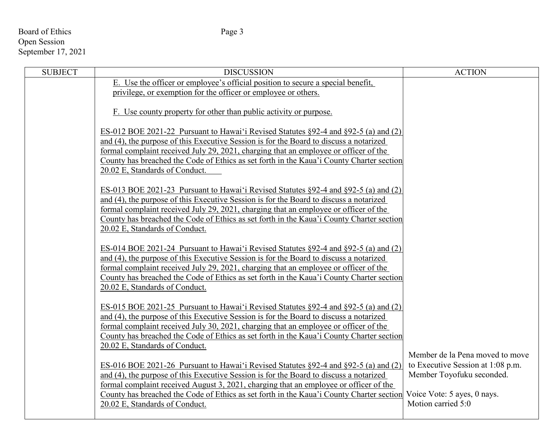## Board of Ethics Page 3 Open Session September 17, 2021

| <b>SUBJECT</b> | <b>DISCUSSION</b>                                                                                                                                                              | <b>ACTION</b>                     |
|----------------|--------------------------------------------------------------------------------------------------------------------------------------------------------------------------------|-----------------------------------|
|                | E. Use the officer or employee's official position to secure a special benefit,                                                                                                |                                   |
|                | privilege, or exemption for the officer or employee or others.                                                                                                                 |                                   |
|                | F. Use county property for other than public activity or purpose.                                                                                                              |                                   |
|                |                                                                                                                                                                                |                                   |
|                | ES-012 BOE 2021-22 Pursuant to Hawai'i Revised Statutes §92-4 and §92-5 (a) and (2)                                                                                            |                                   |
|                | and (4), the purpose of this Executive Session is for the Board to discuss a notarized                                                                                         |                                   |
|                | formal complaint received July 29, 2021, charging that an employee or officer of the                                                                                           |                                   |
|                | County has breached the Code of Ethics as set forth in the Kaua'i County Charter section                                                                                       |                                   |
|                | 20.02 E, Standards of Conduct.                                                                                                                                                 |                                   |
|                | ES-013 BOE 2021-23 Pursuant to Hawai'i Revised Statutes $\S$ 92-4 and $\S$ 92-5 (a) and (2)                                                                                    |                                   |
|                | and (4), the purpose of this Executive Session is for the Board to discuss a notarized                                                                                         |                                   |
|                | formal complaint received July 29, 2021, charging that an employee or officer of the                                                                                           |                                   |
|                | County has breached the Code of Ethics as set forth in the Kaua'i County Charter section                                                                                       |                                   |
|                | 20.02 E, Standards of Conduct.                                                                                                                                                 |                                   |
|                | ES-014 BOE 2021-24 Pursuant to Hawai'i Revised Statutes §92-4 and §92-5 (a) and (2)                                                                                            |                                   |
|                | and (4), the purpose of this Executive Session is for the Board to discuss a notarized                                                                                         |                                   |
|                | formal complaint received July 29, 2021, charging that an employee or officer of the                                                                                           |                                   |
|                | County has breached the Code of Ethics as set forth in the Kaua'i County Charter section                                                                                       |                                   |
|                | 20.02 E, Standards of Conduct.                                                                                                                                                 |                                   |
|                |                                                                                                                                                                                |                                   |
|                | ES-015 BOE 2021-25 Pursuant to Hawai'i Revised Statutes §92-4 and §92-5 (a) and (2)                                                                                            |                                   |
|                | and (4), the purpose of this Executive Session is for the Board to discuss a notarized<br>formal complaint received July 30, 2021, charging that an employee or officer of the |                                   |
|                | County has breached the Code of Ethics as set forth in the Kaua'i County Charter section                                                                                       |                                   |
|                | 20.02 E, Standards of Conduct.                                                                                                                                                 |                                   |
|                |                                                                                                                                                                                | Member de la Pena moved to move   |
|                | ES-016 BOE 2021-26 Pursuant to Hawai'i Revised Statutes §92-4 and §92-5 (a) and (2)                                                                                            | to Executive Session at 1:08 p.m. |
|                | and (4), the purpose of this Executive Session is for the Board to discuss a notarized                                                                                         | Member Toyofuku seconded.         |
|                | formal complaint received August 3, 2021, charging that an employee or officer of the                                                                                          |                                   |
|                | County has breached the Code of Ethics as set forth in the Kaua'i County Charter section                                                                                       | Voice Vote: 5 ayes, 0 nays.       |
|                | 20.02 E, Standards of Conduct.                                                                                                                                                 | Motion carried 5:0                |
|                |                                                                                                                                                                                |                                   |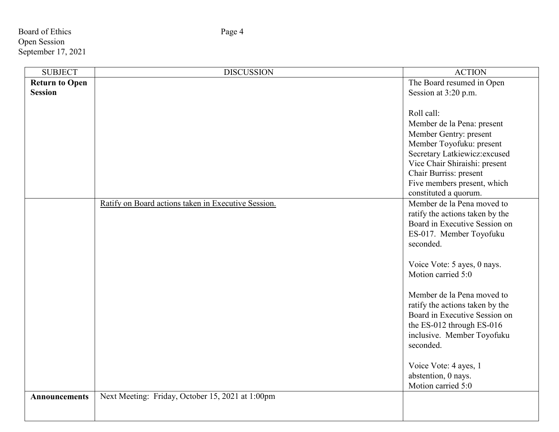Board of Ethics Page 4 Open Session September 17, 2021

F

| <b>SUBJECT</b>        | <b>DISCUSSION</b>                                   | <b>ACTION</b>                   |
|-----------------------|-----------------------------------------------------|---------------------------------|
| <b>Return to Open</b> |                                                     | The Board resumed in Open       |
| <b>Session</b>        |                                                     | Session at 3:20 p.m.            |
|                       |                                                     |                                 |
|                       |                                                     | Roll call:                      |
|                       |                                                     | Member de la Pena: present      |
|                       |                                                     | Member Gentry: present          |
|                       |                                                     | Member Toyofuku: present        |
|                       |                                                     | Secretary Latkiewicz: excused   |
|                       |                                                     | Vice Chair Shiraishi: present   |
|                       |                                                     | Chair Burriss: present          |
|                       |                                                     | Five members present, which     |
|                       |                                                     | constituted a quorum.           |
|                       | Ratify on Board actions taken in Executive Session. | Member de la Pena moved to      |
|                       |                                                     | ratify the actions taken by the |
|                       |                                                     | Board in Executive Session on   |
|                       |                                                     | ES-017. Member Toyofuku         |
|                       |                                                     | seconded.                       |
|                       |                                                     |                                 |
|                       |                                                     | Voice Vote: 5 ayes, 0 nays.     |
|                       |                                                     | Motion carried 5:0              |
|                       |                                                     |                                 |
|                       |                                                     | Member de la Pena moved to      |
|                       |                                                     | ratify the actions taken by the |
|                       |                                                     | Board in Executive Session on   |
|                       |                                                     | the ES-012 through ES-016       |
|                       |                                                     | inclusive. Member Toyofuku      |
|                       |                                                     | seconded.                       |
|                       |                                                     |                                 |
|                       |                                                     | Voice Vote: 4 ayes, 1           |
|                       |                                                     | abstention, 0 nays.             |
|                       |                                                     | Motion carried 5:0              |
| <b>Announcements</b>  | Next Meeting: Friday, October 15, 2021 at 1:00pm    |                                 |
|                       |                                                     |                                 |
|                       |                                                     |                                 |